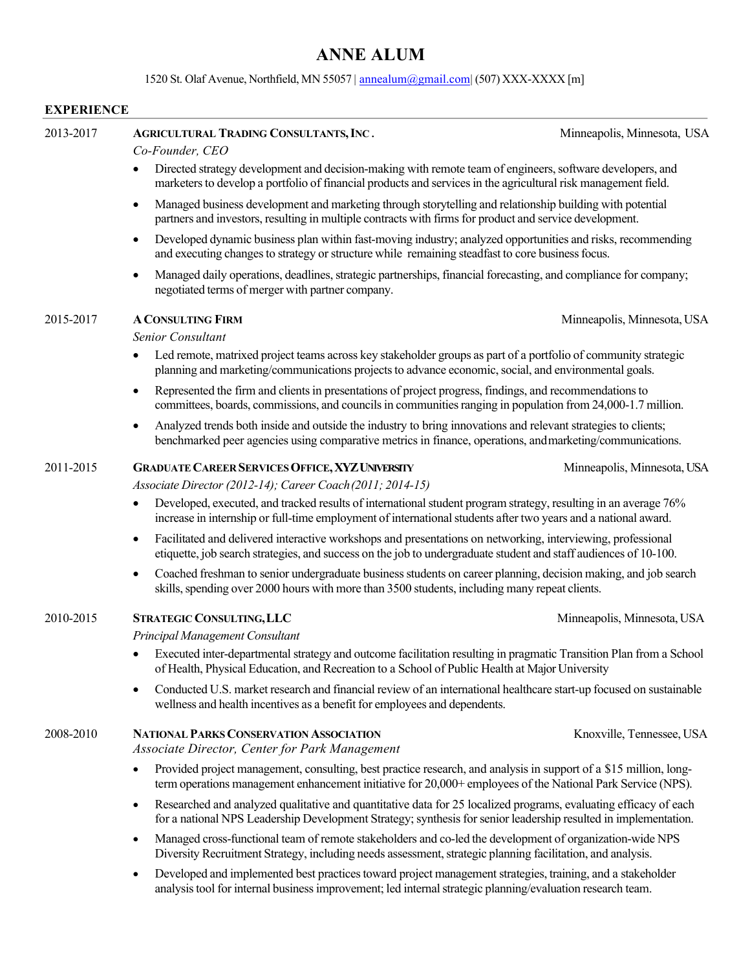# **ANNE ALUM**

## 1520 St. Olaf Avenue, Northfield, MN 55057 | annealum@gmail.com (507) XXX-XXXX [m]

## **EXPERIENCE**

| 2013-2017 | <b>AGRICULTURAL TRADING CONSULTANTS, INC.</b><br>Co-Founder, CEO                                                                                                                                                                                 | Minneapolis, Minnesota, USA |  |
|-----------|--------------------------------------------------------------------------------------------------------------------------------------------------------------------------------------------------------------------------------------------------|-----------------------------|--|
|           | Directed strategy development and decision-making with remote team of engineers, software developers, and<br>marketers to develop a portfolio of financial products and services in the agricultural risk management field.                      |                             |  |
|           | Managed business development and marketing through storytelling and relationship building with potential<br>$\bullet$<br>partners and investors, resulting in multiple contracts with firms for product and service development.                 |                             |  |
|           | Developed dynamic business plan within fast-moving industry; analyzed opportunities and risks, recommending<br>$\bullet$<br>and executing changes to strategy or structure while remaining steadfast to core business focus.                     |                             |  |
|           | Managed daily operations, deadlines, strategic partnerships, financial forecasting, and compliance for company;<br>$\bullet$<br>negotiated terms of merger with partner company.                                                                 |                             |  |
| 2015-2017 | <b>A CONSULTING FIRM</b>                                                                                                                                                                                                                         | Minneapolis, Minnesota, USA |  |
|           | Senior Consultant                                                                                                                                                                                                                                |                             |  |
|           | Led remote, matrixed project teams across key stakeholder groups as part of a portfolio of community strategic<br>planning and marketing/communications projects to advance economic, social, and environmental goals.                           |                             |  |
|           | Represented the firm and clients in presentations of project progress, findings, and recommendations to<br>٠<br>committees, boards, commissions, and councils in communities ranging in population from 24,000-1.7 million.                      |                             |  |
|           | Analyzed trends both inside and outside the industry to bring innovations and relevant strategies to clients;<br>$\bullet$<br>benchmarked peer agencies using comparative metrics in finance, operations, and marketing/communications.          |                             |  |
| 2011-2015 | <b>GRADUATE CAREER SERVICES OFFICE, XYZ UNIVERSITY</b><br>Associate Director (2012-14); Career Coach (2011; 2014-15)                                                                                                                             | Minneapolis, Minnesota, USA |  |
|           | Developed, executed, and tracked results of international student program strategy, resulting in an average 76%<br>$\bullet$<br>increase in internship or full-time employment of international students after two years and a national award.   |                             |  |
|           | Facilitated and delivered interactive workshops and presentations on networking, interviewing, professional<br>٠<br>etiquette, job search strategies, and success on the job to undergraduate student and staff audiences of 10-100.             |                             |  |
|           | Coached freshman to senior undergraduate business students on career planning, decision making, and job search<br>skills, spending over 2000 hours with more than 3500 students, including many repeat clients.                                  |                             |  |
| 2010-2015 | <b>STRATEGIC CONSULTING, LLC</b>                                                                                                                                                                                                                 | Minneapolis, Minnesota, USA |  |
|           | Principal Management Consultant                                                                                                                                                                                                                  |                             |  |
|           | Executed inter-departmental strategy and outcome facilitation resulting in pragmatic Transition Plan from a School<br>of Health, Physical Education, and Recreation to a School of Public Health at Major University                             |                             |  |
|           | Conducted U.S. market research and financial review of an international healthcare start-up focused on sustainable<br>wellness and health incentives as a benefit for employees and dependents.                                                  |                             |  |
| 2008-2010 | <b>NATIONAL PARKS CONSERVATION ASSOCIATION</b><br>Associate Director, Center for Park Management                                                                                                                                                 | Knoxville, Tennessee, USA   |  |
|           | Provided project management, consulting, best practice research, and analysis in support of a \$15 million, long-<br>$\bullet$<br>term operations management enhancement initiative for 20,000+ employees of the National Park Service (NPS).    |                             |  |
|           | Researched and analyzed qualitative and quantitative data for 25 localized programs, evaluating efficacy of each<br>$\bullet$<br>for a national NPS Leadership Development Strategy; synthesis for senior leadership resulted in implementation. |                             |  |
|           | Managed cross-functional team of remote stakeholders and co-led the development of organization-wide NPS<br>$\bullet$<br>Diversity Recruitment Strategy, including needs assessment, strategic planning facilitation, and analysis.              |                             |  |
|           | Developed and implemented best practices toward project management strategies, training, and a stakeholder<br>ria to al fou internal business inconsument; led internal strategie pleasure o(explustion person)                                  |                             |  |

analysistool for internal businessimprovement; led internalstrategic planning/evaluation research team.